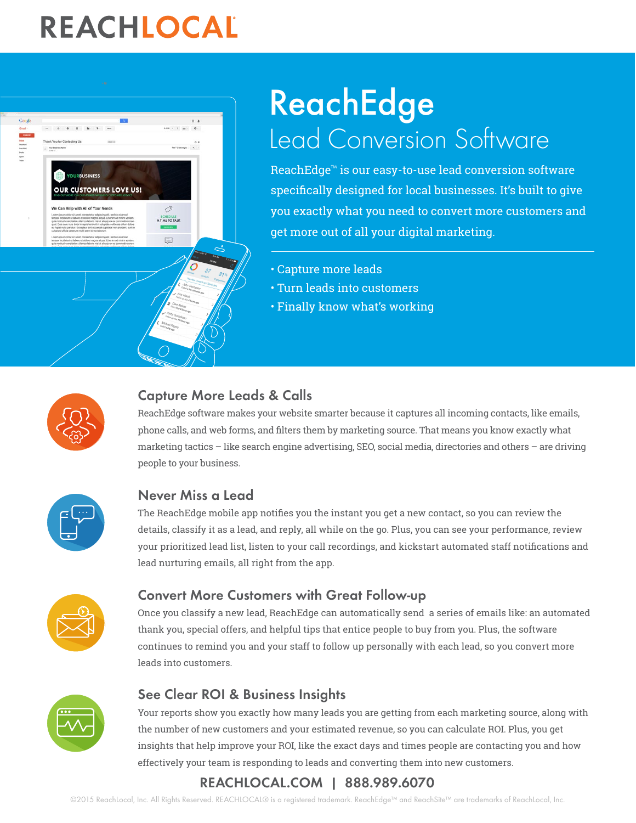# REACHLOCAL



# ReachEdge Lead Conversion Software

ReachEdge™ is our easy-to-use lead conversion software specifically designed for local businesses. It's built to give you exactly what you need to convert more customers and get more out of all your digital marketing.

- Capture more leads
- Turn leads into customers
- Finally know what's working



## Capture More Leads & Calls

ReachEdge software makes your website smarter because it captures all incoming contacts, like emails, phone calls, and web forms, and filters them by marketing source. That means you know exactly what marketing tactics – like search engine advertising, SEO, social media, directories and others – are driving people to your business.



### Never Miss a Lead

The ReachEdge mobile app notifies you the instant you get a new contact, so you can review the details, classify it as a lead, and reply, all while on the go. Plus, you can see your performance, review your prioritized lead list, listen to your call recordings, and kickstart automated staff notifications and lead nurturing emails, all right from the app.



### Convert More Customers with Great Follow-up

Once you classify a new lead, ReachEdge can automatically send a series of emails like: an automated thank you, special offers, and helpful tips that entice people to buy from you. Plus, the software continues to remind you and your staff to follow up personally with each lead, so you convert more leads into customers.



## See Clear ROI & Business Insights

Your reports show you exactly how many leads you are getting from each marketing source, along with the number of new customers and your estimated revenue, so you can calculate ROI. Plus, you get insights that help improve your ROI, like the exact days and times people are contacting you and how effectively your team is responding to leads and converting them into new customers.

# [REACHLOCAL.COM](http://www.reachlocal.com) | 888.989.6070